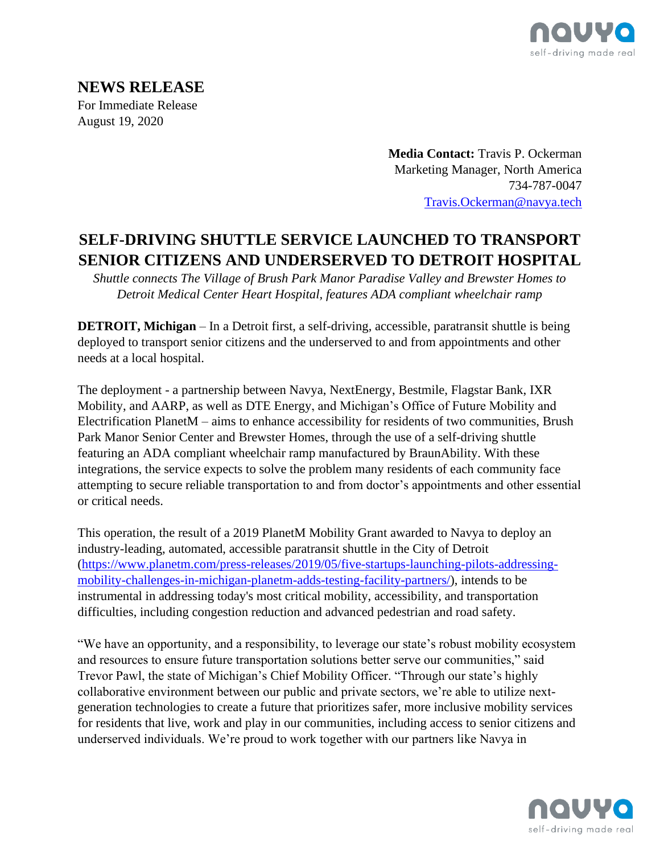

## **NEWS RELEASE** For Immediate Release August 19, 2020

**Media Contact:** Travis P. Ockerman Marketing Manager, North America 734-787-0047 [Travis.Ockerman@navya.tech](mailto:Travis.Ockerman@navya.tech)

# **SELF-DRIVING SHUTTLE SERVICE LAUNCHED TO TRANSPORT SENIOR CITIZENS AND UNDERSERVED TO DETROIT HOSPITAL**

*Shuttle connects The Village of Brush Park Manor Paradise Valley and Brewster Homes to Detroit Medical Center Heart Hospital, features ADA compliant wheelchair ramp*

**DETROIT, Michigan** – In a Detroit first, a self-driving, accessible, paratransit shuttle is being deployed to transport senior citizens and the underserved to and from appointments and other needs at a local hospital.

The deployment - a partnership between Navya, NextEnergy, Bestmile, Flagstar Bank, IXR Mobility, and AARP, as well as DTE Energy, and Michigan's Office of Future Mobility and Electrification PlanetM – aims to enhance accessibility for residents of two communities, Brush Park Manor Senior Center and Brewster Homes, through the use of a self-driving shuttle featuring an ADA compliant wheelchair ramp manufactured by BraunAbility. With these integrations, the service expects to solve the problem many residents of each community face attempting to secure reliable transportation to and from doctor's appointments and other essential or critical needs.

This operation, the result of a 2019 PlanetM Mobility Grant awarded to Navya to deploy an industry-leading, automated, accessible paratransit shuttle in the City of Detroit [\(https://www.planetm.com/press-releases/2019/05/five-startups-launching-pilots-addressing](https://www.planetm.com/press-releases/2019/05/five-startups-launching-pilots-addressing-mobility-challenges-in-michigan-planetm-adds-testing-facility-partners/)[mobility-challenges-in-michigan-planetm-adds-testing-facility-partners/\)](https://www.planetm.com/press-releases/2019/05/five-startups-launching-pilots-addressing-mobility-challenges-in-michigan-planetm-adds-testing-facility-partners/), intends to be instrumental in addressing today's most critical mobility, accessibility, and transportation difficulties, including congestion reduction and advanced pedestrian and road safety.

"We have an opportunity, and a responsibility, to leverage our state's robust mobility ecosystem and resources to ensure future transportation solutions better serve our communities," said Trevor Pawl, the state of Michigan's Chief Mobility Officer. "Through our state's highly collaborative environment between our public and private sectors, we're able to utilize nextgeneration technologies to create a future that prioritizes safer, more inclusive mobility services for residents that live, work and play in our communities, including access to senior citizens and underserved individuals. We're proud to work together with our partners like Navya in

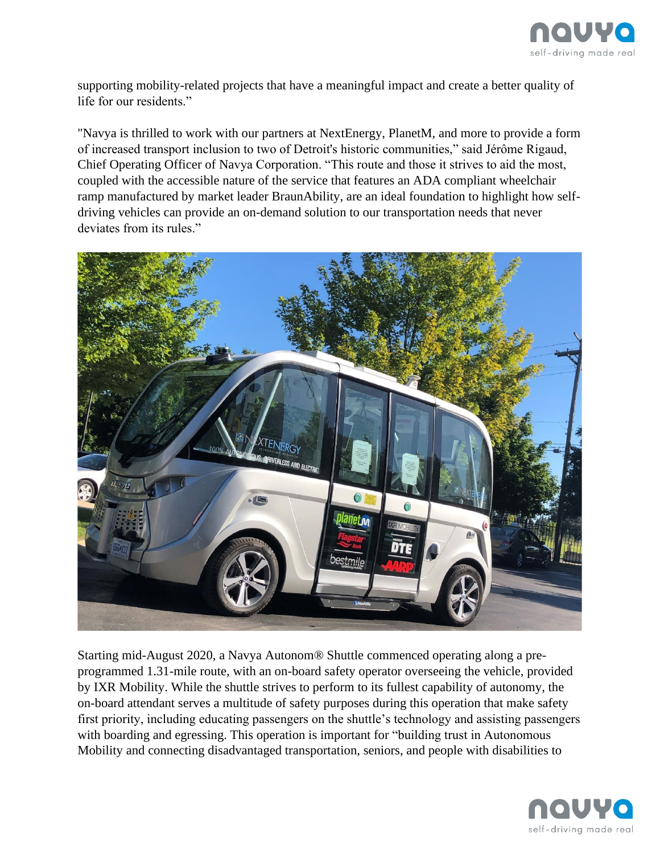

supporting mobility-related projects that have a meaningful impact and create a better quality of life for our residents."

"Navya is thrilled to work with our partners at NextEnergy, PlanetM, and more to provide a form of increased transport inclusion to two of Detroit's historic communities," said Jérôme Rigaud, Chief Operating Officer of Navya Corporation. "This route and those it strives to aid the most, coupled with the accessible nature of the service that features an ADA compliant wheelchair ramp manufactured by market leader BraunAbility, are an ideal foundation to highlight how selfdriving vehicles can provide an on-demand solution to our transportation needs that never deviates from its rules."



Starting mid-August 2020, a Navya Autonom® Shuttle commenced operating along a preprogrammed 1.31-mile route, with an on-board safety operator overseeing the vehicle, provided by IXR Mobility. While the shuttle strives to perform to its fullest capability of autonomy, the on-board attendant serves a multitude of safety purposes during this operation that make safety first priority, including educating passengers on the shuttle's technology and assisting passengers with boarding and egressing. This operation is important for "building trust in Autonomous Mobility and connecting disadvantaged transportation, seniors, and people with disabilities to

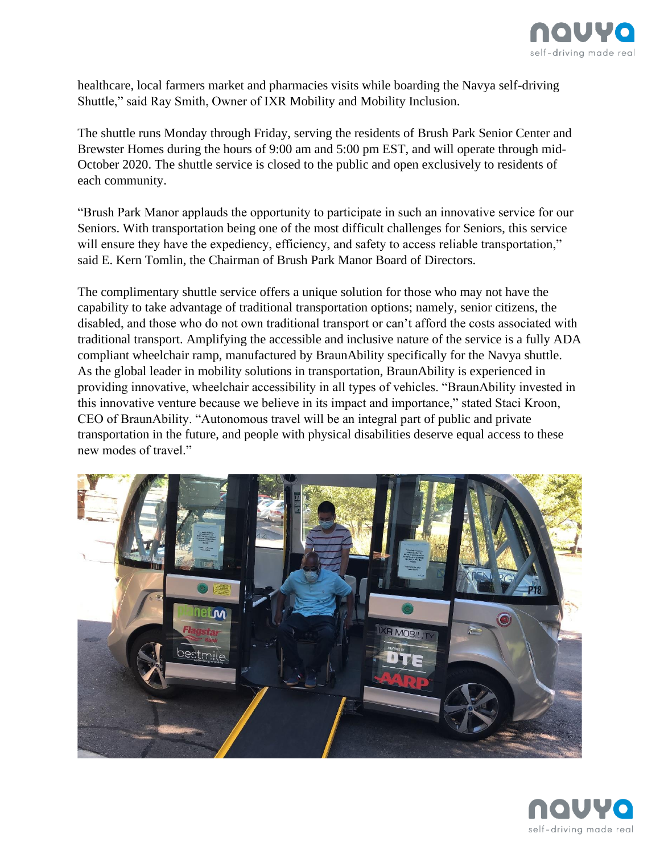

healthcare, local farmers market and pharmacies visits while boarding the Navya self-driving Shuttle," said Ray Smith, Owner of IXR Mobility and Mobility Inclusion.

The shuttle runs Monday through Friday, serving the residents of Brush Park Senior Center and Brewster Homes during the hours of 9:00 am and 5:00 pm EST, and will operate through mid-October 2020. The shuttle service is closed to the public and open exclusively to residents of each community.

"Brush Park Manor applauds the opportunity to participate in such an innovative service for our Seniors. With transportation being one of the most difficult challenges for Seniors, this service will ensure they have the expediency, efficiency, and safety to access reliable transportation," said E. Kern Tomlin, the Chairman of Brush Park Manor Board of Directors.

The complimentary shuttle service offers a unique solution for those who may not have the capability to take advantage of traditional transportation options; namely, senior citizens, the disabled, and those who do not own traditional transport or can't afford the costs associated with traditional transport. Amplifying the accessible and inclusive nature of the service is a fully ADA compliant wheelchair ramp, manufactured by BraunAbility specifically for the Navya shuttle. As the global leader in mobility solutions in transportation, BraunAbility is experienced in providing innovative, wheelchair accessibility in all types of vehicles. "BraunAbility invested in this innovative venture because we believe in its impact and importance," stated Staci Kroon, CEO of BraunAbility. "Autonomous travel will be an integral part of public and private transportation in the future, and people with physical disabilities deserve equal access to these new modes of travel."



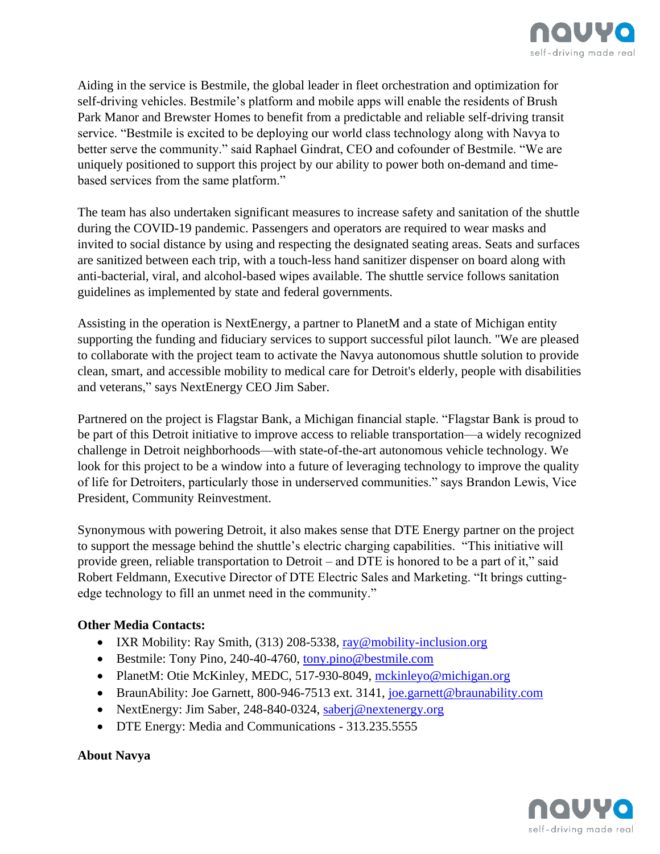

Aiding in the service is Bestmile, the global leader in fleet orchestration and optimization for self-driving vehicles. Bestmile's platform and mobile apps will enable the residents of Brush Park Manor and Brewster Homes to benefit from a predictable and reliable self-driving transit service. "Bestmile is excited to be deploying our world class technology along with Navya to better serve the community." said Raphael Gindrat, CEO and cofounder of Bestmile. "We are uniquely positioned to support this project by our ability to power both on-demand and timebased services from the same platform."

The team has also undertaken significant measures to increase safety and sanitation of the shuttle during the COVID-19 pandemic. Passengers and operators are required to wear masks and invited to social distance by using and respecting the designated seating areas. Seats and surfaces are sanitized between each trip, with a touch-less hand sanitizer dispenser on board along with anti-bacterial, viral, and alcohol-based wipes available. The shuttle service follows sanitation guidelines as implemented by state and federal governments.

Assisting in the operation is NextEnergy, a partner to PlanetM and a state of Michigan entity supporting the funding and fiduciary services to support successful pilot launch. "We are pleased to collaborate with the project team to activate the Navya autonomous shuttle solution to provide clean, smart, and accessible mobility to medical care for Detroit's elderly, people with disabilities and veterans," says NextEnergy CEO Jim Saber.

Partnered on the project is Flagstar Bank, a Michigan financial staple. "Flagstar Bank is proud to be part of this Detroit initiative to improve access to reliable transportation—a widely recognized challenge in Detroit neighborhoods—with state-of-the-art autonomous vehicle technology. We look for this project to be a window into a future of leveraging technology to improve the quality of life for Detroiters, particularly those in underserved communities." says Brandon Lewis, Vice President, Community Reinvestment.

Synonymous with powering Detroit, it also makes sense that DTE Energy partner on the project to support the message behind the shuttle's electric charging capabilities. "This initiative will provide green, reliable transportation to Detroit – and DTE is honored to be a part of it," said Robert Feldmann, Executive Director of DTE Electric Sales and Marketing. "It brings cuttingedge technology to fill an unmet need in the community."

#### **Other Media Contacts:**

- IXR Mobility: Ray Smith,  $(313)$  208-5338, [ray@mobility-inclusion.org](mailto:ray@mobility-inclusion.org)
- Bestmile: Tony Pino, 240-40-4760, [tony.pino@bestmile.com](mailto:tony.pino@bestmile.com)
- PlanetM: Otie McKinley, MEDC, 517-930-8049, [mckinleyo@michigan.org](mailto:mckinleyo@michigan.org)
- BraunAbility: Joe Garnett, 800-946-7513 ext. 3141, [joe.garnett@braunability.com](mailto:joe.garnett@braunability.com)
- NextEnergy: Jim Saber, 248-840-0324, [saberj@nextenergy.org](mailto:saberj@nextenergy.org)
- DTE Energy: Media and Communications 313.235.5555

#### **About Navya**

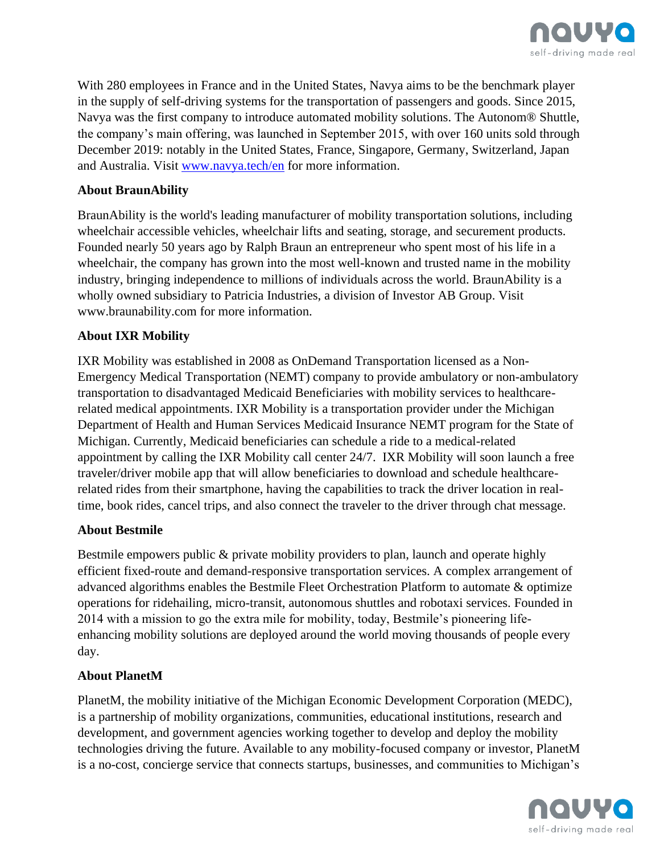

With 280 employees in France and in the United States, Navya aims to be the benchmark player in the supply of self-driving systems for the transportation of passengers and goods. Since 2015, Navya was the first company to introduce automated mobility solutions. The Autonom® Shuttle, the company's main offering, was launched in September 2015, with over 160 units sold through December 2019: notably in the United States, France, Singapore, Germany, Switzerland, Japan and Australia. Visit [www.navya.tech/en](http://www.navya.tech/en) for more information.

#### **About BraunAbility**

BraunAbility is the world's leading manufacturer of mobility transportation solutions, including wheelchair accessible vehicles, wheelchair lifts and seating, storage, and securement products. Founded nearly 50 years ago by Ralph Braun an entrepreneur who spent most of his life in a wheelchair, the company has grown into the most well-known and trusted name in the mobility industry, bringing independence to millions of individuals across the world. BraunAbility is a wholly owned subsidiary to Patricia Industries, a division of Investor AB Group. Visit www.braunability.com for more information.

### **About IXR Mobility**

IXR Mobility was established in 2008 as OnDemand Transportation licensed as a Non-Emergency Medical Transportation (NEMT) company to provide ambulatory or non-ambulatory transportation to disadvantaged Medicaid Beneficiaries with mobility services to healthcarerelated medical appointments. IXR Mobility is a transportation provider under the Michigan Department of Health and Human Services Medicaid Insurance NEMT program for the State of Michigan. Currently, Medicaid beneficiaries can schedule a ride to a medical-related appointment by calling the IXR Mobility call center 24/7. IXR Mobility will soon launch a free traveler/driver mobile app that will allow beneficiaries to download and schedule healthcarerelated rides from their smartphone, having the capabilities to track the driver location in realtime, book rides, cancel trips, and also connect the traveler to the driver through chat message.

#### **About Bestmile**

Bestmile empowers public & private mobility providers to plan, launch and operate highly efficient fixed-route and demand-responsive transportation services. A complex arrangement of advanced algorithms enables the Bestmile Fleet Orchestration Platform to automate & optimize operations for ridehailing, micro-transit, autonomous shuttles and robotaxi services. Founded in 2014 with a mission to go the extra mile for mobility, today, Bestmile's pioneering lifeenhancing mobility solutions are deployed around the world moving thousands of people every day.

#### **About PlanetM**

PlanetM, the mobility initiative of the Michigan Economic Development Corporation (MEDC), is a partnership of mobility organizations, communities, educational institutions, research and development, and government agencies working together to develop and deploy the mobility technologies driving the future. Available to any mobility-focused company or investor, PlanetM is a no-cost, concierge service that connects startups, businesses, and communities to Michigan's